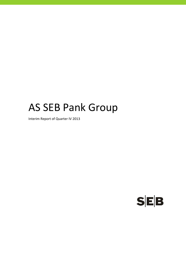# AS SEB Pank Group

Interim Report of Quarter IV 2013

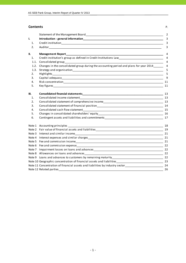#### **Contents** P.

|        |                                                                                                                | $\overline{2}$ |
|--------|----------------------------------------------------------------------------------------------------------------|----------------|
| I.     |                                                                                                                | 3              |
| 1.     |                                                                                                                | 3              |
| 2.     |                                                                                                                | 3              |
| П.     |                                                                                                                | 4              |
| 1.     | Credit institution's group as defined in Credit Institutions Law___________________________________            | 4              |
| 1.1.   |                                                                                                                | 4              |
| 1.2.   | Changes in the consolidated group during the accounting period and plans for year 2014                         | 4              |
| 1.3.   |                                                                                                                | 5              |
| 2.     |                                                                                                                | 5              |
| 3.     |                                                                                                                | 9              |
| 4.     |                                                                                                                |                |
| 5.     |                                                                                                                | 11             |
| Ш.     |                                                                                                                | 13             |
| 1.     | Consolidated income statement                                                                                  |                |
| 2.     | Consolidated statement of comprehensive income<br><u>[13]</u> 13                                               |                |
| 3.     |                                                                                                                |                |
| 4.     |                                                                                                                |                |
| 5.     |                                                                                                                |                |
| 6.     | Contingent assets and liabilities and commitments _______________________________                              | 17             |
|        |                                                                                                                | 18             |
|        |                                                                                                                |                |
| Note 3 |                                                                                                                |                |
| Note 4 |                                                                                                                |                |
|        |                                                                                                                |                |
|        |                                                                                                                |                |
|        |                                                                                                                |                |
|        |                                                                                                                |                |
|        |                                                                                                                |                |
|        |                                                                                                                |                |
|        | Note 11 Concentration of financial assets and liabilities by industry sector________________________________24 |                |
|        |                                                                                                                | 26             |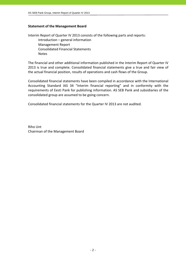#### **Statement of the Management Board**

Interim Report of Quarter IV 2013 consists of the following parts and reports: Introduction – general information Management Report Consolidated Financial Statements Notes

The financial and other additional information published in the Interim Report of Quarter IV 2013 is true and complete. Consolidated financial statements give a true and fair view of the actual financial position, results of operations and cash flows of the Group.

Consolidated financial statements have been compiled in accordance with the International Accounting Standard IAS 34 "Interim financial reporting" and in conformity with the requirements of Eesti Pank for publishing information. AS SEB Pank and subsidiaries of the consolidated group are assumed to be going concern.

Consolidated financial statements for the Quarter IV 2013 are not audited.

Riho Unt Chairman of the Management Board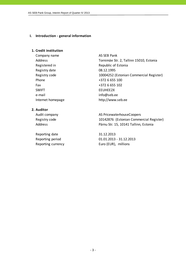#### **I. Introduction ‐ general information**

#### **1. Credit institution**

Company name AS SEB Pank Registered in Republic of Estonia Registry date 08.12.1995 Phone  $+372$  6 655 100 Fax +372 6 655 102 SWIFT EEUHEE2X e-mail info@seb.ee

Address Tornimäe Str. 2, Tallinn 15010, Estonia Registry code 10004252 (Estonian Commercial Register) Internet homepage http://www.seb.ee

# **2. Auditor**

Reporting date 31.12.2013

Audit company and all the AS PricewaterhouseCoopers Registry code 10142876 (Estonian Commercial Register) Address **Pärnu Str. 15, 10141 Tallinn, Estonia** 

Reporting period 01.01.2013 ‐ 31.12.2013 Reporting currency Euro (EUR), millions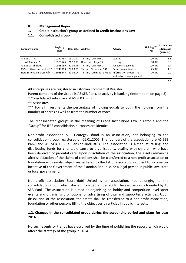#### **II. Management Report**

#### **1. Credit institution's group as defined in Credit Institutions Law**

### **1.1. Consolidated group**

| Company name                          | Registry<br>code | Reg. date | <b>Address</b>                                   | <b>Activity</b>        | Holding***<br>(%) | At an acqui-<br>sition cost<br>(EURmio) |
|---------------------------------------|------------------|-----------|--------------------------------------------------|------------------------|-------------------|-----------------------------------------|
| AS SEB Liising                        | 10281767         | 03.10.97  | Tallinn, Tornimäe 2                              | Leasing                | 100.0%            | 1.8                                     |
| AS Rentacar*                          | 10303546         | 20.10.97  | Haapsalu, Karja 27                               | Leasing                | 100.0%            | 0.0                                     |
| AS SEB Varahaldus                     | 10035169         | 22.05.96  | Tallinn, Tornimäe 2                              | Asset management       | 100.0%            | 2.7                                     |
| AS Sertifits eerimiskes kus **        | 10747013         | 27.03.01  | Tallinn, Pärnu mnt 141                           | Data communication     | 25.0%             | 1.0                                     |
| Tieto Estonia Services OÜ ** 11065244 |                  | 30.08.04  | Tallinn, Tammsaare tee 47 Information processing | and network management | 20.0%             | 0.0                                     |
|                                       |                  |           |                                                  |                        |                   | 5.5                                     |

All enterprises are registered in Estonian Commercial Register.

Parent company of the Group is AS SEB Pank, its activity is banking (information on page 3).

\* Consolidated subsidiary of AS SEB Liising

\*\* Associates

\*\*\* For all investments the percentage of holding equals to both, the holding from the number of shares as well as from the number of votes.

The "consolidated group" in the meaning of Credit Institutions Law in Estonia and the "Group" for IFRS consolidation purposes are identical.

Non‐profit association SEB Heategevusfond is an association, not belonging to the consolidation group, registered on 06.01.2006. The founders of the association are AS SEB Pank and AS SEB Elu- ja Pensionikindlustus. The association is aimed at raising and distributing funds for charitable cause to organisations, dealing with children, who have been deprived of parental care. Upon dissolution of the association, the assets remaining after satisfaction of the claims of creditors shall be transferred to a non‐profit association or foundation with similar objectives, entered to the list of associations subject to income tax incentive of the Government of the Estonian Republic, or a legal person in public law, state or local government.

Non‐profit association Spordiklubi United is an association, not belonging to the consolidation group, which started from September 2008. The association is founded by AS SEB Pank. The association is aimed at organising on hobby and competition level sport events and organising promotions for advertising of own and supporter´s activities. Upon dissolution of the association, the assets shall be transferred to a non‐profit association, foundation or other persons filling the objectives by articles in public interests.

# **1.2. Changes in the consolidated group during the accounting period and plans for year 2014**

No such events or trends have occurred by the time of publishing the report, which would affect the strategy of the group in 2014.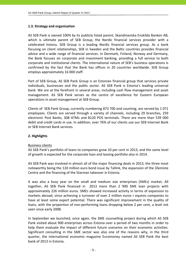#### **1.3. Strategy and organisation**

AS SEB Pank is owned 100% by its publicly listed parent, Skandinaviska Enskilda Banken AB, which is ultimate parent of SEB Group, the Nordic financial services provider with a celebrated history. SEB Group is a leading Nordic financial services group. As a bank focusing on client relationships, SEB in Sweden and the Baltic countries provides financial advice and a wide range of financial services. In Denmark, Finland, Norway and Germany, the Bank focuses on corporate and investment banking, providing a full service to both corporate and institutional clients. The international nature of SEB's business operations is confirmed by the fact that the Bank has offices in 20 countries worldwide. SEB Group employs approximately 16 000 staff.

Part of SEB Group, AS SEB Pank Group is an Estonian financial group that services private individuals, businesses and the public sector. AS SEB Pank is Estonia's leading universal bank. We are at the forefront in several areas, including cash flow management and asset management. AS SEB Pank serves as the centre of excellence for Eastern European operations in asset management at SEB Group.

Clients of SEB Pank Group, currently numbering 873 700 and counting, are served by 1 071 employees. Clients are served through a variety of channels, including 29 branches, 259 electronic Post Banks, 308 ATMs and 8120 POS terminals. There are more than 539 000 debit and credit cards in use. In addition, over 76% of our clients use our SEB Internet Bank or SEB Internet Bank services.

#### **2. Highlights**

#### Business clients

AS SEB Pank's portfolio of loans to companies grew 10 per cent in 2013, and the same level of growth is expected for the corporate loan and leasing portfolio also in 2014.

AS SEB Pank was involved in almost all of the major financing deals in 2013, the three most noteworthy being the 120 million euro bond issue by Tallink, the expansion of the Ülemiste Centre and the financing of the Starman takeover in Estonia.

It was also a busy year on the small and medium size enterprises (SMEs) market. All together, AS SEB Pank financed in 2013 more than 2 900 SME loan projects with approximately 226 million euros. SMEs showed increased activity in terms of expansion to markets abroad, since achieving a turnover of over 2 million euros r equires companies to have at least some export potential. There was significant improvement in the quality of loans, with the proportion of non‐performing loans dropping below 2 per cent, a level not seen since early 2008.

In September we launched, once again, the SME counselling project during which AS SEB Pank visited about 900 enterprises across Estonia over a period of two months in order to help them evaluate the impact of different future scenarios on their economic activities. Significant consulting in the SME sector was also one of the reasons why, in the third quarter, the international economic magazine Euromoney named AS SEB Pank the best bank of 2013 in Estonia.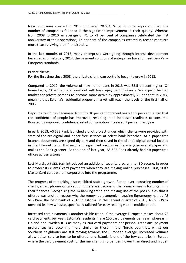New companies created in 2013 numbered 20 654. What is more important than the number of companies founded is the significant improvement in their quality. Whereas from 2008 to 2010 an average of 71 to 73 per cent of companies celebrated the first anniversary of their operations, 77 per cent of the companies created in recent years are more than surviving their first birthday.

In the last months of 2013, many enterprises were going through intense development because, as of February 2014, the payment solutions of enterprises have to meet new Pan– European standards.

#### Private clients

For the first time since 2008, the private client loan portfolio began to grow in 2013.

Compared to 2012, the volume of new home loans in 2013 was 33.5 percent higher. Of home loans, 70 per cent are taken out with loan repayment insurance. We expect the loan market for private persons to become more active by approximately 20 per cent in 2014, meaning that Estonia's residential property market will reach the levels of the first half of 2006.

Deposit growth has decreased from the 10 per cent of recent years to 5 per cent, a sign that the confidence of people has improved, resulting in an increased readiness to consume. Boosted by improved confidence, retail consumption increased 7 per cent last year.

In early 2013, AS SEB Pank launched a pilot project under which clients were provided with state‐of‐the‐art digital and paper‐free services at select bank branches. At a paper‐free branch, documents are signed digitally and then saved in the client's digital portal located in the Internet Bank. This results in significant savings in the everyday use of paper and makes the Bank greener. At the end of last year, AS SEB Pank already had six paper‐free offices across Estonia.

Last March, AS SEB Pank introduced an additional security programme, 3D secure, in order to protect its clients' card payments when they are making online purchases. First, SEB's MasterCard cards were incorporated into the programme.

The progress of m‐banking also exhibited stable growth. For an ever increasing number of clients, smart phones or tablet computers are becoming the primary means for organising their finances. Recognising the m‐banking trend and making use of the possibilities that it offered was another reason why the renowned economic magazine Euromoney named AS SEB Pank the best bank of 2013 in Estonia. In the second quarter of 2013, AS SEB Pank unveiled its new website, specifically tailored for easy reading via the mobile phone.

Increased card payments is another visible trend. If the average European makes about 75 card payments per year, Estonia's residents make 150 card payments per year, whereas in Finland and Sweden it is as many as 200 card payments per person. Estonians' payment preferences are becoming more similar to those in the Nordic countries, whilst our Southern neighbours are still moving towards the European average. Increased volumes allow better service fees to be offered, and Estonia is one of the few countries in Europe where the card payment cost for the merchant is 45 per cent lower than direct and hidden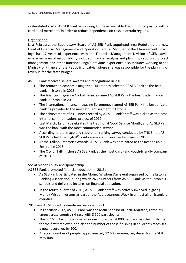cash-related costs. AS SEB Pank is working to make available the option of paying with a card at all merchants in order to reduce dependence on cash in certain regions.

#### **Organisation**

Last February, the Supervisory Board of AS SEB Pank appointed Inga Ruduša as the new Head of Financial Management and Operations and as Member of the Management Board. Inga has 17 years of experience with the Financial Management Division of SEB Latvia, where her area of responsibility included financial analysis and planning, reporting, project management and other functions. Inga's previous experience also includes working at the Ministry of Finance of the Republic of Latvia, where she was responsible for the planning of revenue for the state budget.

AS SEB Pank received several awards and recognitions in 2013:

- The renowned economic magazine Euromoney selected AS SEB Pank as the best bank in Estonia in 2013.
- The financial magazine Global Finance named AS SEB Pank the best trade finance bank in Estonia in 2013.
- The international finance magazine Euromoney named AS SEB Pank the best private banking provider to the most affluent segment in Estonia.
- The achievement of a Guinness record by AS SEB Pank's staff was picked as the best internal communications project of 2012.
- Last March, Estonia celebrated the traditional Good Service Month, and AS SEB Pank was the bank with the most commended service.
- According to the image and reputation ranking survey conducted by TNS Emor, AS SEB Pank held the high  $8<sup>th</sup>$  position among Estonian enterprises in 2013.
- At the Tallinn Enterprise Awards, AS SEB Pank was nominated as the Responsible Enterprise 2013.
- The City of Tallinn chose AS SEB Pank as the most child‐ and youth‐friendly company of 2013.

# Social responsibility and sponsorship

AS SEB Pank promoted financial education in 2013:

- AS SEB Pank participated in the Money Wisdom Day event organised by the Estonian Banking Association, during which 26 volunteers from AS SEB Pank visited Estonia's schools and delivered lectures on financial education.
- In the fourth quarter of 2013, AS SEB Pank's staff was actively involved in giving Money Wisdom lessons as part of the Adult Learners Week in almost all of Estonia's counties.

2013 saw AS SEB Pank promote recreational sport:

- In February 2013, AS SEB Pank was the Main Sponsor of Tartu Maraton, Estonia's largest cross‐country ski race with 8 500 participants.
- The  $31<sup>st</sup>$  SEB Tartu Jooksumaraton saw more than 4 000 people cross the finish line for the first time ever, and also the number of those finishing in children's races set a new record, up by 500.
- A record number of people, approximately 12 500 women, registered for the SEB May Run.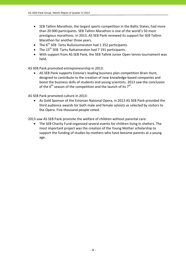- SEB Tallinn Marathon, the largest sports competition in the Baltic States, had more than 20 000 participants. SEB Tallinn Marathon is one of the world's 50 most prestigious marathons. In 2013, AS SEB Pank renewed its support for SEB Tallinn Marathon for another three years.
- The  $6^{th}$  SEB Tartu Rulluisumaraton had 1 352 participants.
- The  $15^{th}$  SEB Tartu Rattamaraton had 7 191 participants.
- With support from AS SEB Pank, the SEB Tallink Junior Open tennis tournament was held.

AS SEB Pank promoted entrepreneurship in 2013:

 AS SEB Pank supports Estonia's leading business plan competition Brain Hunt, designed to contribute to the creation of new knowledge‐based companies and boost the business skills of students and young scientists. 2013 saw the conclusion of the 6<sup>th</sup> season of the competition and the launch of its  $7<sup>th</sup>$ .

AS SEB Pank promoted culture in 2013:

 As Gold Sponsor of the Estonian National Opera, in 2013 AS SEB Pank provided the third audience awards for both male and female soloists as selected by visitors to the Opera. Five thousand people voted.

2013 saw AS SEB Pank promote the welfare of children without parental care:

 The SEB Charity Fund organised several events for children living in shelters. The most important project was the creation of the Young Mother scholarship to support the funding of studies by mothers who have become parents at a young age.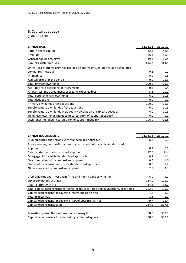# **3. Capital adequacy**

(millions of EUR)

| <b>CAPITAL BASE</b>                                                             | 31.12.13 | 31.12.12 |
|---------------------------------------------------------------------------------|----------|----------|
| Paid-in share capital                                                           | 42.5     | 42.5     |
| Premium                                                                         | 86.3     | 86.3     |
| General banking reserves                                                        | 19.4     | 19.4     |
| Retained earnings / loss                                                        | 553.7    | 482.4    |
| Unrealised profit for previous periods on shares of subsidiaries and associated |          |          |
| companies (negative)                                                            | $-0.1$   | $-0.1$   |
| Intangibles                                                                     | $-0.9$   | $-0.5$   |
| Audited profit for the period                                                   | 0.0      | 71.3     |
| Total primary own funds                                                         | 700.9    | 701.3    |
| Available for sale financial instruments                                        | 0.2      | 0.4      |
| Allowances and adjustments exceeding expected loss                              | 5.8      | 10.1     |
| Total supplementary own funds                                                   | 6.0      | 10.5     |
| <b>Total deductions</b>                                                         | 0.0      | 0.0      |
| Primary own funds after deductions                                              | 700.9    | 701.3    |
| Supplementary own funds after deductions                                        | 6.0      | 10.5     |
| Supplementary own funds included in calculation of capital adequacy             | 6.0      | 10.5     |
| Third level own funds included in calculation of capital adequacy               | 0.0      | 0.0      |
| Own funds included in calculation of capital adequacy                           | 706.9    | 711.8    |

| <b>CAPITAL REQUIREMENTS</b>                                                          | 31.12.13 | 31.12.12 |
|--------------------------------------------------------------------------------------|----------|----------|
| Municipalities and regions with standardised approach                                | 6.2      | 6.0      |
| State agencies, non-profit institutions and associations with standardised           |          |          |
| approach                                                                             | 0.2      | 0.1      |
| Retail claims with standardised approach                                             | 17.0     | 15.2     |
| Mortgage claims with standardised approach                                           | 0.1      | 0.1      |
| Overdue claims with standardised approach                                            | 0.5      | 0.9      |
| Shares of investment funds with standardised approach                                | 0.5      | 0.4      |
| Other assets with standardised approach                                              | 2.9      | 3.3      |
| Credit institutions, investment firms and municipalities with IRB                    | 6.0      | 5.1      |
| Other companies with IRB                                                             | 134.9    | 125.2    |
| Retail claims with IRB                                                               | 34.6     | 38.7     |
| Total capital requirements for covering the credit risk and counterparty credit risk | 202.9    | 195.0    |
| Capital requirement for covering interest position risk                              | 1.6      | 1.1      |
| Total market risk                                                                    | 1.6      | 1.1      |
| Capital requirement for covering AMA of operational risk                             | 9.7      | 11.4     |
| Capital requirements total                                                           | 214.2    | 207.5    |
|                                                                                      |          |          |
| Transition period floor of own funds if using IRB                                    | 330.3    | 303.1    |
| Capital requirements for calculating capital adequacy                                | 330.3    | 303.1    |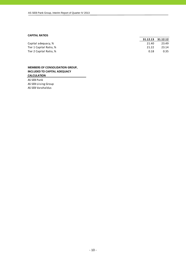#### **CAPITAL RATIOS**

|                         | 31.12.13 | 31.12.12 |
|-------------------------|----------|----------|
| Capital adequacy, %     | 21.40    | 23.49    |
| Tier 1 Capital Ratio, % | 21.22    | 23.14    |
| Tier 2 Capital Ratio, % | 0.18     | 0.35     |
|                         |          |          |

#### **MEMBERS OF CONSOLIDATION GROUP, INCLUDED TO CAPITAL ADEQUACY CALCULATION**

AS SEB Pank AS SEB Liising Group AS SEB Varahaldus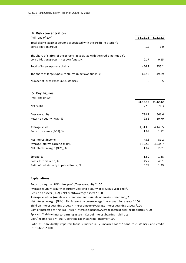#### **4. Risk concentration**

| (millions of EUR)                                                                                                       | 31.12.13 | 31.12.12 |
|-------------------------------------------------------------------------------------------------------------------------|----------|----------|
| Total claims against persons associated with the credit institution's<br>consolidation group                            | 1.2      | 1.0      |
| The share of claims of the persons associated with the credit institution's<br>consolidation group in net own funds, %, | 0.17     | 0.15     |
| Total of large exposure claims                                                                                          | 456.2    | 355.2    |
| The share of large exposure claims in net own funds, %                                                                  | 64.53    | 49.89    |
| Number of large exposure customers                                                                                      | 6        | 5        |

#### **5. Key figures**

| (millions of EUR)                       |          |          |
|-----------------------------------------|----------|----------|
|                                         | 31.12.13 | 31.12.12 |
| Net profit                              | 72.8     | 71.3     |
| Average equity                          | 738.7    | 666.6    |
| Return on equity (ROE), %               | 9.86     | 10.70    |
| Average assets                          | 4,313.0  | 4,143.5  |
| Return on assets (ROA), %               | 1.69     | 1.72     |
| Net interest income                     | 78.6     | 81.2     |
| Average interest earning assets         | 4,192.3  | 4,034.7  |
| Net interest margin (NIM), %            | 1.87     | 2.01     |
| Spread, %                               | 1.80     | 1.88     |
| Cost / Income ratio, %                  | 45.7     | 45.1     |
| Ratio of individually impaired loans, % | 0.79     | 1.39     |

#### **Explanations**

Return on equity (ROE) = Net profit/Average equity \* 100 Average equity = (Equity of current year end + Equity of previous year end)/2 Return on assets (ROA) = Net profit/Average assets \* 100 Average assets = (Assets of current year end + Assets of previous year end)/2 Cost of interest bearing liabilities = Interest expenses/Average interest bearing liabilities \*100 Cost/Income Ratio = Total Operating Expenses/Total Income \* 100 Spread = Yield on interest earning assets ‐ Cost of interest bearing liabilities Net interest margin (NIM) = Net interest income/Average interest earning assets \* 100 Yield on interest earning assets = Interest income/Average interest earning assets \*100

Ratio of individually impaired loans = Individually impaired loans/Loans to customers and credit institutions\* 100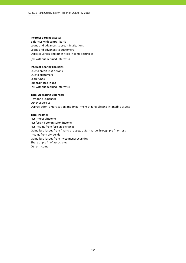#### **Interest earning assets:**

Balances with central bank Loans and advances to credit institutions Loans and advances to customers Debt securities and other fixed income securities

(all without accrued interests)

#### **Interest bearing liabilities:**

Due to credit institutions Due to customers Loan funds Subordinated loans (all without accrued interests)

#### **Total Operating Expenses:**

Personnel expenses Other expenses Depreciation, amortisation and impairment of tangible and intangible assets

#### **Total Income:**

Net interest income Net fee and commission income Net income from foreign exchange Gains less losses from financial assets at fair value through profit or loss Income from dividends Gains less losses from investment securities Share of profit of associates Other income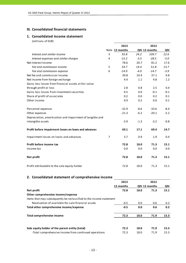#### **III. Consolidated financial statements**

#### **1. Consolidated income statement**

(millions of EUR)

|                                                           |                | 2013           |        | 2012          |        |
|-----------------------------------------------------------|----------------|----------------|--------|---------------|--------|
|                                                           |                | Note 12 months |        | QIV 12 months | QIV    |
| Interest and similar income                               | 3              | 93.8           | 24.2   | 109.7         | 22.6   |
| Interest expenses and similar charges                     | 4              | $-15.2$        | $-3.5$ | $-28.5$       | $-5.0$ |
| Net Interest Income                                       |                | 78.6           | 20.7   | 81.2          | 17.6   |
| Fee and commission income                                 | 5              | 54.7           | 14.4   | 51.8          | 13.7   |
| Fee and commission expense                                | 6              | $-14.9$        | $-4.0$ | $-14.7$       | $-3.9$ |
| Net fee and commission income                             |                | 39.8           | 10.4   | 37.1          | 9.8    |
| Net income from foreign exchange                          |                | 4.4            | 1.1    | 4.8           | 1.2    |
| Gains less losses from financial assets at fair value     |                |                |        |               |        |
| through profit or loss                                    |                | 2.8            | 0.8    | 2.5           | 0.4    |
| Gains less losses from investment securities              |                | 0.5            | 0.0    | $-0.1$        | $-0.1$ |
| Share of profit of associates                             |                | 0.2            | 0.0    | 0.2           | 0.1    |
| Other income                                              |                | 0.9            | 0.2    | 0.6           | 0.1    |
| Personnel expenses                                        |                | $-32.9$        | $-8.6$ | $-33.6$       | $-8.4$ |
| Other expenses                                            |                | $-21.3$        | $-6.2$ | $-20.1$       | $-5.2$ |
| Depreciation, amortisation and impairment of tangible and |                |                |        |               |        |
| intangible assets                                         |                | $-3.9$         | $-1.3$ | $-3.2$        | $-0.8$ |
| Profit before impairment losses on loans and advances     |                | 69.1           | 17.1   | 69.4          | 14.7   |
| Impairment losses on loans and advances                   | $\overline{7}$ | 3.7            | 0.9    | 1.9           | 0.4    |
| Profit before income tax                                  |                | 72.8           | 18.0   | 71.3          | 15.1   |
| Income tax                                                |                | 0.0            | 0.0    | 0.0           | 0.0    |
| Net profit                                                |                | 72.8           | 18.0   | 71.3          | 15.1   |
| Profit attributable to the sole equity holder             |                | 72.8           | 18.0   | 71.3          | 15.1   |

# **2. Consolidated statement of comprehensive income**

|                                                                      | 2013      |      | 2012          |               |
|----------------------------------------------------------------------|-----------|------|---------------|---------------|
|                                                                      | 12 months |      | QIV 12 months | QIV           |
| Net profit                                                           | 72.8      | 18.0 | 71.3          | 15.1          |
| Other comprehensive income/expense                                   |           |      |               |               |
| Items that may subsequently be reclassified to the income statement: |           |      |               |               |
| Revaluation of available-for-sale financial assets                   | $-0.5$    | 0.0  | 0.6           | $0.2^{\circ}$ |
| Total other comprehensive income/expense                             | $-0.5$    | 0.0  | 0.6           | 0.2           |
| Total comprehensive income                                           | 72.3      | 18.0 | 71.9          | 15.3          |
| Sole equity holder of the parent entity (total)                      | 72.3      | 18.0 | 71.9          | 15.3          |
| -Total comprehensive income from continued operations                | 72.3      | 18.0 | 71.9          | 15.3          |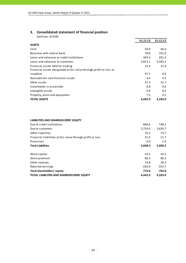# **3. Consolidated statement of financial position**

(millions of EUR)

|                                                                     | 31.12.13 | 31.12.12 |
|---------------------------------------------------------------------|----------|----------|
| <b>ASSETS</b>                                                       |          |          |
| Cash                                                                | 44.9     | 46.6     |
| Balances with central bank                                          | 70.0     | 191.0    |
| Loans and advances to credit institutions                           | 343.3    | 291.4    |
| Loans and advances to customers                                     | 3,813.1  | 3,585.3  |
| Financial assets held for trading                                   | 23.4     | 21.4     |
| Financial assets designated at fair value through profit or loss at |          |          |
| inception                                                           | 97.1     | 0.0      |
| Available-for-sale financial assets                                 | 4.6      | 5.3      |
| Other assets                                                        | 37.3     | 31.7     |
| Investments in associates                                           | 0.8      | 0.6      |
| Intangible assets                                                   | 0.9      | 0.5      |
| Property, plant and equipment                                       | 7.5      | 9.2      |
| <b>TOTAL ASSETS</b>                                                 | 4.442.9  | 4,183.0  |

#### **LIABILITIES AND SHAREHOLDERS' EQUITY**

| Due to credit institutions                                 | 846.6   | 748.2   |
|------------------------------------------------------------|---------|---------|
| Due to customers                                           | 2,724.0 | 2,634.7 |
| Other liabilities                                          | 76.2    | 73.7    |
| Financial liabilities at fair value through profit or loss | 21.5    | 21.7    |
| Provisions                                                 | 0.0     | 1.9     |
| <b>Total Liabilities</b>                                   | 3,668.3 | 3,480.2 |
|                                                            |         |         |
| Share capital                                              | 42.5    | 42.5    |
| Share premium                                              | 86.3    | 86.3    |
| Other reserves                                             | 19.8    | 20.3    |
| Retained earnings                                          | 626.0   | 553.7   |
| Total shareholders' equity                                 | 774.6   | 702.8   |
| <b>TOTAL LIABILITIES AND SHAREHOLDERS' EQUITY</b>          | 4.442.9 | 4.183.0 |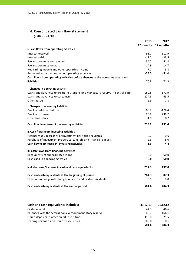#### **4. Consolidated cash flow statement**

(millions of EUR)

|                                                                                 | 2013      | 2012      |
|---------------------------------------------------------------------------------|-----------|-----------|
|                                                                                 | 12 months | 12 months |
| I. Cash flows from operating activities                                         |           |           |
| Interest received                                                               | 93.7      | 112.9     |
| Interest paid                                                                   | $-17.2$   | $-33.5$   |
| Fee and commission received                                                     | 54.7      | 51.8      |
| Fee and commission paid                                                         | $-14.9$   | $-14.7$   |
| Net trading income and other operating income                                   | 7.7       | 5.8       |
| Personnel expenses and other operating expenses                                 | $-53.5$   | $-51.0$   |
| Cash flows from operating activities before changes in the operating assets and |           |           |
| <b>liabilities</b>                                                              | 70.5      | 71.3      |
| Changes in operating assets:                                                    |           |           |
| Loans and advances to credit institutions and mandatory reserve in central bank | 180.5     | 171.9     |
| Loans and advances to customers                                                 | $-224.8$  | $-45.5$   |
| Other assets                                                                    | 2.9       | $-7.8$    |
| <b>Changes of operating liabilities:</b>                                        |           |           |
| Due to credit institutions                                                      | 100.2     | $-178.4$  |
| Due to customers                                                                | 90.9      | 239.2     |
| Other liabilities                                                               | $-1.0$    | 0.7       |
| Cash flow from (used in) operating activities                                   | 219.2     | 251.4     |
| II. Cash flows from investing activities                                        |           |           |
| Net increase-/decrease+ of investment portfolio securities                      | 0.7       | 0.6       |
| Purchase of investment properties, tangible and intangible assets               | $-2.6$    | $-5.0$    |
| Cash flow from (used in) investing activities                                   | $-1.9$    | $-4.4$    |
| III. Cash flows from financing activities                                       |           |           |
| Repayments of subordinated loans                                                | 0.0       | $-50.0$   |
| Cash used in financing activities                                               | 0.0       | $-50.0$   |
| Net decrease/increase in cash and cash equivalents                              | 217.3     | 197.0     |
| Cash and cash equivalents at the beginning of period                            | 284.3     | 87.3      |
| Effect of exchange rate changes on cash and cash equivalents                    | 0.0       | 0.0       |
| Cash and cash equivalents at the end of period                                  | 501.6     | 284.3     |

| Cash and cash equivalents includes:                      | 31.12.13 | 31.12.12 |
|----------------------------------------------------------|----------|----------|
| Cash on hand                                             | 44.9     | 46.6     |
| Balances with the central bank without mandatory reserve | 40.7     | 166.1    |
| Liquid deposits in other credit institutions             | 316.0    | 71.5     |
| Trading portfolio and liquidity securities               | 100.0    | 0.1      |
|                                                          | 501.6    | 284.3    |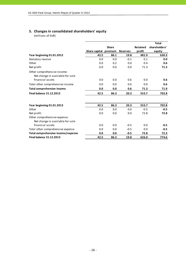# **5. Changes in consolidated shareholders' equity**

(millions of EUR)

|                                                                                     |               |              |                 |                 | <b>Total</b>  |
|-------------------------------------------------------------------------------------|---------------|--------------|-----------------|-----------------|---------------|
|                                                                                     |               | <b>Share</b> |                 | <b>Retained</b> | shareholders' |
|                                                                                     | Share capital | premium      | <b>Reserves</b> | profit          | equity        |
| Year beginning 01.01.2012                                                           | 42.5          | 86.1         | 19.8            | 481.9           | 630.3         |
| Statutory reserve                                                                   | 0.0           | 0.0          | $-0.1$          | 0.1             | 0.0           |
| Other                                                                               | 0.0           | 0.2          | 0.0             | 0.4             | 0.6           |
| Net profit                                                                          | 0.0           | 0.0          | 0.0             | 71.3            | 71.3          |
| Other comprehensive income:<br>Net change in available-for-sale<br>financial assets |               |              |                 |                 |               |
|                                                                                     | 0.0           | 0.0          | 0.6             | 0.0             | 0.6           |
| Total other comprehensive income                                                    | 0.0           | 0.0          | 0.6             | 0.0             | 0.6           |
| <b>Total comprehensive income</b>                                                   | 0.0           | 0.0          | 0.6             | 71.3            | 71.9          |
| <b>Final balance 31.12.2012</b>                                                     | 42.5          | 86.3         | 20.3            | 553.7           | 702.8         |
| Year beginning 01.01.2013                                                           | 42.5          | 86.3         | 20.3            | 553.7           | 702.8         |
| Other                                                                               | 0.0           | 0.0          | 0.0             | $-0.5$          | $-0.5$        |
| Net profit                                                                          | 0.0           | 0.0          | 0.0             | 72.8            | 72.8          |
| Other comprehensive expense:<br>Net change in available-for-sale                    |               |              |                 |                 |               |
| financial assets                                                                    | 0.0           | 0.0          | $-0.5$          | 0.0             | $-0.5$        |
| Total other comprehensive expense                                                   | 0.0           | 0.0          | $-0.5$          | 0.0             | $-0.5$        |
| Total comprehensive income/expense                                                  | 0.0           | 0.0          | $-0.5$          | 72.8            | 72.3          |
| <b>Final balance 31.12.2013</b>                                                     | 42.5          | 86.3         | 19.8            | 626.0           | 774.6         |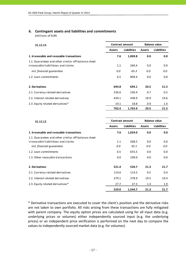# **6. Contingent assets and liabilities and commitments**

(millions of EUR)

| 31.12.13                                                                                   | <b>Balance value</b><br><b>Contract amount</b> |                    |               |                    |
|--------------------------------------------------------------------------------------------|------------------------------------------------|--------------------|---------------|--------------------|
|                                                                                            | <b>Assets</b>                                  | <b>Liabilities</b> | <b>Assets</b> | <b>Liabilities</b> |
| 1. Irrevocable and revocable transactions                                                  | 7.6                                            | 1,069.8            | 0.0           | 0.0                |
| 1.1. Guarantees and other similar off-balance sheet<br>irrovocable liabilitieas and claims | 1.1                                            | 260.4              | 0.0           | 0.0                |
| incl. financial quarantees                                                                 | 0.0                                            | 65.3               | 0.0           | 0.0                |
| 1.2. Loan commitments                                                                      | 6.5                                            | 809.4              | 0.0           | 0.0                |
| 2. Derivatives                                                                             | 694.8                                          | 694.1              | 20.5          | 21.5               |
| 2.1. Currency related derivatives                                                          | 236.6                                          | 236.4              | 0.7           | 0.5                |
| 2.2. Interest related derivatives                                                          | 439.1                                          | 438.9              | 18.9          | 19.6               |
| 2.3. Equity related derivatives*                                                           | 19.1                                           | 18.8               | 0.9           | 1.4                |
|                                                                                            | 702.4                                          | 1,763.9            | 20.5          | 21.5               |

| 31.12.12                                            | <b>Contract amount</b> |                    | <b>Balance value</b> |                    |  |
|-----------------------------------------------------|------------------------|--------------------|----------------------|--------------------|--|
|                                                     | <b>Assets</b>          | <b>Liabilities</b> | <b>Assets</b>        | <b>Liabilities</b> |  |
| 1. Irrevocable and revocable transactions           | 7.6                    | 1,024.0            | 0.0                  | 0.0                |  |
| 1.1. Guarantees and other similar off-balance sheet |                        |                    |                      |                    |  |
| irrovocable liabilitieas and claims                 | 1.1                    | 268.5              | 0.0                  | 0.0                |  |
| incl. financial quarantees                          | 0.0                    | 92.1               | 0.0                  | 0.0                |  |
| 1.2. Loan commitments                               | 6.5                    | 655.5              | 0.0                  | 0.0                |  |
| 1.3. Other revocable transactions                   | 0.0                    | 100.0              | 0.0                  | 0.0                |  |
| 2. Derivatives                                      | 521.4                  | 520.7              | 21.3                 | 21.7               |  |
| 2.1. Currency related derivatives                   | 114.6                  | 114.5              | 0.5                  | 0.4                |  |
| 2.2. Interest related derivatives                   | 379.1                  | 378.9              | 19.5                 | 19.4               |  |
| 2.3. Equity related derivatives*                    | 27.7                   | 27.3               | 1.3                  | 1.9                |  |
|                                                     | 529.0                  | 1,544.7            | 21.3                 | 21.7               |  |

\* Derivative transactions are executed to cover the client's position and the derivative risks are not taken to own portfolio. All risks arising from these transactions are fully mitigated with parent company. The equity option prices are calculated using for all input data (e.g. underlying prices or volumes) either independently sourced input (e.g. the underlying prices) or an independent price verification is performed on the next day to compare the values to independently sourced market data (e.g. for volumes).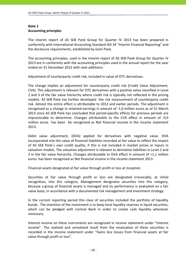# **Note 1 Accounting principles**

The interim report of AS SEB Pank Group for Quarter IV 2013 has been prepared in conformity with International Accounting Standard IAS 34 "Interim Financial Reporting" and the disclosure requirements, established by Eesti Pank.

The accounting principles, used in the interim report of AS SEB Pank Group for Quarter IV 2013 are in conformity with the accounting principles used in the annual report for the year ended on 31 December 2012 with next additions:

Adjustment of counterparty credit risk, included in value of OTC derivatives.

The change implies an adjustment for counterparty credit risk (Credit Value Adjustment, CVA). This adjustment is relevant for OTC derivatives with a positive value classified in Level 2 and 3 of the fair value hierarchy where credit risk is typically not reflected in the pricing models. AS SEB Pank has further developed the risk measurement of counterparty credit risk. Almost the entire effect is attributable to 2012 and earlier periods. The adjustment is recognised as a change in retained earnings in amount of ‐1,0 million euros as of 31 March 2013 since AS SEB Pank has concluded that period‐specific effects for previous periods are impracticable to determine. Changes attributable to the CVA effect in amount of ‐0,9 million euros has been be recognised as Net financial income in the income statement 2013.

Debit value adjustment, (DVA) applied for derivatives with negative value. DVA incorporated into the value of financial liabilities recorded at fair value to reflect the impact of AS SEB Pank´s own credit quality, if this is not included in market prices or inputs in valuation models. The valuation adjustment is relevant to derivative liabilities in Level 2 and 3 in the fair value hierarchy. Changes attributable to DVA effect in amount of +1,1 million euros has been recognised as Net financial income in the income statement 2013.

Financial assets designated at fair value through profit or loss at inception

Securities at fair value through profit or loss are designated irrevocably, at initial recognition, into this category. Management designates securities into this category, because a group of financial assets is managed and its performance is evaluated on a fair value basis, in accordance with a documented risk management and investment strategy.

In the current reporting period this class of securities included the portfolio of liquidity bonds. The intention of the investment is to keep local liquidity reserves in liquid securities, which can be pledged with Central Bank in order to create cash liquidity whenever necessary.

Interest income on these instruments are recognised in income statement under "Interest income". The realized and unrealized result from the revaluation of these securities is recorded in the income statement under "Gains less losses from financial assets at fair value through profit or loss".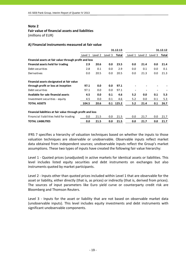#### **Note 2**

#### **Fair value of financial assets and liabilities**

(millions of EUR)

|                                                             |         |         |         | 31.12.13 |         |         |         | 31.12.12 |
|-------------------------------------------------------------|---------|---------|---------|----------|---------|---------|---------|----------|
|                                                             | Level 1 | Level 2 | Level 3 | Total    | Level 1 | Level 2 | Level 3 | Total    |
| Financial assets at fair value through profit and loss      |         |         |         |          |         |         |         |          |
| Financial assets held for trading                           | 2.9     | 20.6    | 0.0     | 23.5     | 0.0     | 21.4    | 0.0     | 21.4     |
| Debt securities                                             | 2.8     | 0.1     | 0.0     | 2.9      | 0.0     | 0.1     | 0.0     | 0.1      |
| Derivatives                                                 | 0.0     | 20.5    | 0.0     | 20.5     | 0.0     | 21.3    | 0.0     | 21.3     |
| Financial assets designated at fair value                   |         |         |         |          |         |         |         |          |
| through profit or loss at inception                         | 97.1    | 0.0     | 0.0     | 97.1     |         |         |         |          |
| Debt securities                                             | 97.1    | 0.0     | 0.0     | 97.1     |         |         |         |          |
| Available for sale financial assets                         | 4.5     | 0.0     | 0.1     | 4.6      | 5.2     | 0.0     | 0.1     | 5.3      |
| Investment securities - equity                              | 4.5     | 0.0     | 0.1     | 4.6      | 5.2     | 0.0     | 0.1     | 5.3      |
| <b>TOTAL ASSETS</b>                                         | 104.5   | 20.6    | 0.1     | 125.2    | 5.2     | 21.4    | 0.1     | 26.7     |
| Financial liabilities at fair value through profit and loss |         |         |         |          |         |         |         |          |
| Financial liabilities held for trading                      | 0.0     | 21.5    | 0.0     | 21.5     | 0.0     | 21.7    | 0.0     | 21.7     |
| <b>TOTAL LIABILITIES</b>                                    | 0.0     | 21.5    | 0.0     | 21.5     | 0.0     | 21.7    | 0.0     | 21.7     |

#### **A) Financial instruments measured at fair value**

IFRS 7 specifies a hierarchy of valuation techniques based on whether the inputs to those valuation techniques are observable or unobservable. Observable inputs reflect market data obtained from independent sources; unobservable inputs reflect the Group's market assumptions. These two types of inputs have created the following fair value hierarchy:

Level 1 ‐ Quoted prices (unadjusted) in active markets for identical assets or liabilities. This level includes listed equity securities and debt instruments on exchanges but also instruments quoted by market participants.

Level 2 - Inputs other than quoted prices included within Level 1 that are observable for the asset or liability, either directly (that is, as prices) or indirectly (that is, derived from prices). The sources of input parameters like Euro yield curve or counterparty credit risk are Bloomberg and Thomson Reuters.

Level 3 - Inputs for the asset or liability that are not based on observable market data (unobservable inputs). This level includes equity investments and debt instruments with significant unobservable components.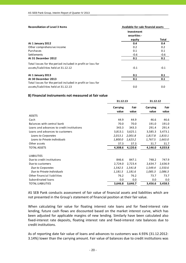| <b>Reconciliation of Level 3 Items</b>                     | Available-for-sale financial assets |        |
|------------------------------------------------------------|-------------------------------------|--------|
|                                                            | Investment<br>securities -          |        |
|                                                            | equity                              | Total  |
| At 1 January 2012                                          | 0.4                                 | 0.4    |
| Other comprehensive income                                 | 0.2                                 | 0.2    |
| Purchases                                                  | 0.1                                 | 0.1    |
| <b>Settlements</b>                                         | $-0.6$                              | $-0.6$ |
| At 31 December 2012                                        | 0.1                                 | 0.1    |
| Total losses for the period included in profit or loss for |                                     |        |
| assets/liabilities held at 31.12.12                        | $-0.1$                              | $-0.1$ |
| At 1 January 2013                                          | 0.1                                 | 0.1    |
| At 30 December 2013                                        | 0.1                                 | 0.1    |
| Total losses for the period included in profit or loss for |                                     |        |
| assets/liabilities held at 31.12.13                        | 0.0                                 | 0.0    |

#### **B) Financial instruments not measured at fair value**

|                                           | 31.12.13                 |               | 31.12.12          |               |  |
|-------------------------------------------|--------------------------|---------------|-------------------|---------------|--|
|                                           | <b>Carrying</b><br>value | Fair<br>value | Carrying<br>value | Fair<br>value |  |
| <b>ASSETS</b>                             |                          |               |                   |               |  |
| Cash                                      | 44.9                     | 44.9          | 46.6              | 46.6          |  |
| Balances with central bank                | 70.0                     | 70.0          | 191.0             | 191.0         |  |
| Loans and advances to credit institutions | 343.3                    | 343.3         | 291.4             | 291.4         |  |
| Loans and advances to customers           | 3,813.1                  | 3,625.1       | 3,585.3           | 3,473.1       |  |
| Loans to Corporates                       | 2,013.1                  | 2,001.8       | 1,817.8           | 1,810.1       |  |
| Loans to Private individuals              | 1,800.0                  | 1,623.2       | 1,767.5           | 1,663.0       |  |
| Other assets                              | 37.3                     | 37.3          | 31.7              | 31.7          |  |
| TOTAL ASSETS                              | 4,308.6                  | 4,120.6       | 4,146.0           | 4,033.8       |  |
| <b>LIABILITIES</b>                        |                          |               |                   |               |  |
| Due to credit institutions                | 846.6                    | 847.1         | 748.2             | 747.9         |  |
| Due to customers                          | 2,724.0                  | 2,723.4       | 2,634.7           | 2,636.9       |  |
| Due to Corporates                         | 1,542.5                  | 1,541.8       | 1,549.4           | 1,550.6       |  |
| Due to Private Individuals                | 1,181.5                  | 1,181.6       | 1,085.3           | 1,086.3       |  |
| Other financial liabilities               | 76.2                     | 76.2          | 73.7              | 73.7          |  |
| Subordinated loans                        | 0.0                      | 0.0           | 0.0               | 0.0           |  |
| TOTAL LIABILITIES                         | 3,646.8                  | 3,646.7       | 3,456.6           | 3,458.5       |  |

AS SEB Pank conducts assessment of fair value of financial assets and liabilities which are not presented in the Group's statement of financial position at their fair value.

When calculating fair value for floating interest rate loans and for fixed-interest rate lending, future cash flows are discounted based on the market interest curve, which has been adjusted for applicable margins of new lending. Similarly have been calculated also fixed-interest rate deposits, floating interest rate and fixed-interest rate balances due to credit institutions.

As of reporting date fair value of loans and advances to customers was 4.93% (31.12.2012: 3.14%) lower than the carrying amount. Fair value of balances due to credit institutions was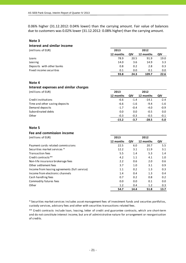0.06% higher (31.12.2012: 0.04% lower) than the carrying amount. Fair value of balances due to customers was 0.02% lower (31.12.2012: 0.08% higher) than the carrying amount.

#### **Note 3**

# **Interest and similar income**

(millions of EUR) **2013 2012**

| 1111111011301110111       | ----      |      | ----      |      |
|---------------------------|-----------|------|-----------|------|
|                           | 12 months | QIV  | 12 months | QIV  |
| Loans                     | 78.9      | 20.5 | 91.9      | 19.0 |
| Leasing                   | 14.0      | 3.6  | 14.9      | 3.3  |
| Deposits with other banks | 0.8       | 0.2  | 2.8       | 0.3  |
| Fixed income securities   | 0.1       | 0.0  | 0.1       | 0.0  |
|                           | 93.8      | 24.3 | 109.7     | 22.6 |

#### **Note 4**

**Interest expenses and similar charges**

(millions of EUR) **2013 2012**

|                                | 12 months | QIV    | 12 months | QIV    |
|--------------------------------|-----------|--------|-----------|--------|
| Credit institutions            | $-6.6$    | $-1.4$ | $-14.1$   | $-2.4$ |
| Time and other saving deposits | $-6.6$    | $-1.6$ | $-9.4$    | $-1.6$ |
| Demand deposits                | $-1.7$    | $-0.4$ | $-4.0$    | $-0.9$ |
| Subordinated debts             | 0.0       | 0.0    | $-0.5$    | 0.0    |
| Other                          | $-0.3$    | $-0.3$ | $-0.5$    | $-0.1$ |
|                                | $-15.2$   | -3.7   | $-28.5$   | $-5.0$ |

#### **Note 5**

#### **Fee and commission income**

| (millions of EUR)                             | 2013      | 2012 |           |      |
|-----------------------------------------------|-----------|------|-----------|------|
|                                               | 12 months | QIV  | 12 months | QIV  |
| Payment cards related commissions             | 22.5      | 6.0  | 20.7      | 5.5  |
| Securities market services *                  | 12.2      | 3.1  | 11.9      | 3.1  |
| <b>Transaction fees</b>                       | 5.5       | 1.4  | 5.3       | 1.4  |
| Credit contracts**                            | 4.2       | 1.1  | 4.1       | 1.0  |
| Non-life insurance brokerage fees             | 2.2       | 0.6  | 2.0       | 0.6  |
| Other settlement fees                         | 3.7       | 1.0  | 3.1       | 0.9  |
| Income from leasing agreements (full service) | 1.1       | 0.2  | 1.3       | 0.3  |
| Income from electronic channels               | 1.4       | 0.4  | 1.3       | 0.4  |
| Cash handling fees                            | 0.7       | 0.2  | 0.8       | 0.2  |
| Commodity futures fees                        | 0.0       | 0.0  | 0.1       | 0.0  |
| Other                                         | 1.2       | 0.4  | 1.2       | 0.3  |
|                                               | 54.7      | 14.4 | 51.8      | 13.7 |

\* Securities market services includes asset management fees of investment funds and securties portfolios, custody services, advisory fees and other with securities transactions related fees.

\*\* Credit contracts include loan, leasing, letter of credit and guarantee contracts, which are short‐term and do not constitute interest income, but are of administrative nature for arrangement or reorganisation of credits.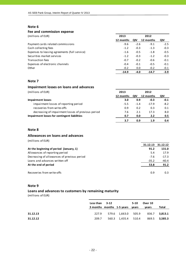#### **Note 6**

#### **Fee and commission expense**

| (millions of EUR) |  |  |
|-------------------|--|--|

| (millions of EUR)                             | 2013      |        | 2012      |        |
|-----------------------------------------------|-----------|--------|-----------|--------|
|                                               | 12 months | QIV    | 12 months | QIV    |
| Payment cards related commissions             | $-9.6$    | $-2.6$ | $-9.1$    | $-2.5$ |
| Cash collecting fees                          | $-1.2$    | $-0.3$ | $-1.3$    | $-0.3$ |
| Expenses to leasing agreements (full service) | $-1.6$    | $-0.5$ | $-1.8$    | $-0.5$ |
| Securities market services                    | $-1.2$    | $-0.3$ | $-1.2$    | $-0.3$ |
| <b>Transaction fees</b>                       | $-0.7$    | $-0.2$ | $-0.6$    | $-0.1$ |
| Expenses of electronic channels               | $-0.4$    | $-0.1$ | $-0.5$    | $-0.1$ |
| Other                                         | $-0.2$    | 0.0    | $-0.2$    | $-0.1$ |
|                                               | $-14.9$   | $-4.0$ | $-14.7$   | $-3.9$ |

#### **Note 7**

#### **Impairment losses on loans and advances**

(millions of EUR) **2013 2012**

|                                                    | 12 months | QIV    | 12 months | QIV    |
|----------------------------------------------------|-----------|--------|-----------|--------|
| <b>Impairment losses</b>                           | 3.0       | 0.9    | -0.3      | $-0.1$ |
| impairment losses of reporting period              | $-5.5$    | $-1.4$ | $-17.9$   | $-8.2$ |
| recoveries from write-offs                         | 0.9       | 0.2    | 0.3       | 0.1    |
| decreasing of impairment losses of previous period | 7.6       | 2.1    | 17.3      | 8.0    |
| Impairment losses for contingent liabilities       | 0.7       | 0.0    | 2.2       | 0.5    |
|                                                    | 3.7       | 0.9    | 1.9       | 0.4    |

#### **Note 8**

### **Allowances on loans and advances**

(millions of EUR)

|                                             | 31.12.13 | 31.12.12 |
|---------------------------------------------|----------|----------|
| At the beginning of period (January, 1)     | 91.2     | 131.0    |
| Allowances of reporting period              | 5.4      | 17.9     |
| Decreasing of allowances of previous period | $-7.6$   | $-17.3$  |
| Loans and advances written off              | $-35.2$  | $-40.4$  |
| At the end of period                        | 53.8     | 91.2     |
|                                             |          |          |
| Recoveries from write-offs                  | 0.9      | 0.3      |

#### **Note 9**

#### **Loans and advances to customers by remaining maturity**

(millions of EUR)

|          | Less than $3-12$<br>3 months months 1-5 years years |                     | $5-10$ | Over 10<br>years                        | Total         |
|----------|-----------------------------------------------------|---------------------|--------|-----------------------------------------|---------------|
| 31.12.13 |                                                     |                     |        | 227.9 579.6 1,663.0 505.9 836.7 3,813.1 |               |
| 31.12.12 | 209.7                                               | 560.3 1,435.4 510.4 |        |                                         | 869.5 3,585.3 |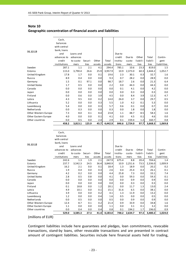| Note 10                                                      |
|--------------------------------------------------------------|
| Geographic concentration of financial assets and liabilities |

|                      | Cash,<br>balances |           |         |        |         |          |         |          |             |             |
|----------------------|-------------------|-----------|---------|--------|---------|----------|---------|----------|-------------|-------------|
|                      | with central      |           |         |        |         |          |         |          |             |             |
|                      | bank, loans       |           |         |        |         |          |         |          |             |             |
| 31.12.13             | and               | Loans and |         |        |         | Due to   |         |          |             |             |
|                      | advances to       | advances  |         |        |         | credit   | Due to  | Other    | Total       | Contin-     |
|                      | credit            | to custo- | Securi- | Other  | Total   | institu- | custo-  | liabili- | liabili-    | gent        |
|                      | institutions      | mers      | ties    | assets | assets  | tions    | mers    | ties     | <b>ties</b> | liabilities |
| Sweden               | 287.1             | 1.1       | 2.1     | 4.1    | 294.4   | 785.1    | 10.6    | 23.3     | 819.0       | 1.5         |
| Estonia              | 115.0             | 3,790.4   | 26.6    | 25.9   | 3,957.9 | 10.9     | 2,373.0 | 60.3     | 2,444.2     | 1,052.7     |
| United Kingdom       | 17.8              | 1.7       | 0.0     | 0.1    | 19.6    | 2.3      | 30.1    | 0.3      | 32.7        | 1.6         |
| Russia               | 8.9               | 0.4       | 0.0     | 0.0    | 9.3     | 0.7      | 28.2    | 0.0      | 28.9        | 0.0         |
| Germany              | 1.5               | 0.1       | 97.1    | 0.0    | 98.7    | 18.7     | 2.6     | 0.0      | 21.3        | 6.4         |
| <b>United States</b> | 1.7               | 0.5       | 0.0     | 0.0    | 2.2     | 0.0      | 44.3    | 0.0      | 44.3        | 0.0         |
| Canada               | 0.0               | 0.0       | 0.0     | 0.0    | 0.0     | 0.1      | 4.1     | 0.0      | 4.2         | 0.0         |
| Japan                | 0.0               | 0.0       | 0.0     | 0.0    | 0.0     | 0.0      | 0.3     | 0.0      | 0.3         | 0.0         |
| Finland              | 0.0               | 0.6       | 0.0     | 3.9    | 4.5     | 0.0      | 8.4     | 3.9      | 12.3        | 4.7         |
| Latvia               | 4.3               | 9.5       | 0.0     | 0.2    | 14.0    | 26.0     | 3.7     | 0.0      | 29.7        | 0.5         |
| Lithuania            | 5.2               | 0.0       | 0.0     | 0.3    | 5.5     | 1.0      | 4.2     | 0.1      | 5.3         | 0.0         |
| Luxembourg           | 5.4               | 0.0       | 0.0     | 0.3    | 5.7     | 0.6      | 0.1     | 0.0      | 0.7         | 0.0         |
| Netherlands          | 0.0               | 0.3       | 0.0     | 0.0    | 0.3     | 0.0      | 1.8     | 0.0      | 1.8         | 0.0         |
| Other Western Europe | 7.3               | 8.0       | 0.1     | 8.4    | 23.8    | 1.1      | 48.7    | 8.5      | 58.3        | 1.6         |
| Other Eastern Europe | 4.0               | 0.0       | 0.0     | 0.1    | 4.1     | 0.0      | 4.5     | 0.1      | 4.6         | 0.0         |
| Other countries      | 0.0               | 0.5       | 0.0     | 2.4    | 2.9     | 0.1      | 159.4   | 1.2      | 160.7       | 0.8         |
|                      | 458.2             | 3,813.1   | 125.9   | 45.7   | 4,442.9 | 846.6    | 2,724.0 | 97.7     | 3,668.3     | 1,069.8     |

| Other countries      | 0.0                   | 0.4                   | 0.0     | 0.4    | 0.8     | 0.1                | 194.2            | 1.7               | 196.0             | 0.9             |
|----------------------|-----------------------|-----------------------|---------|--------|---------|--------------------|------------------|-------------------|-------------------|-----------------|
| Other Eastern Europe | 1.1                   | 0.0                   | 0.0     | 0.0    | 1.1     | 0.0                | 3.1              | 0.1               | 3.2               | 0.0             |
| Other Western Europe | 12.4                  | 8.7                   | 0.1     | 0.2    | 21.4    | 0.9                | 33.9             | 0.0               | 34.8              | 1.6             |
| Netherlands          | 0.0                   | 0.5                   | 0.0     | 0.0    | 0.5     | 0.0                | 0.9              | 0.0               | 0.9               | 0.0             |
| Luxembourg           | 1.2                   | 0.0                   | 0.0     | 0.4    | 1.6     | 0.5                | 0.0              | 0.0               | 0.5               | 0.0             |
| Lithuania            | 3.9                   | 0.0                   | 0.0     | 0.2    | 4.1     | 1.3                | 11.9             | 0.0               | 13.2              | 0.0             |
| Latvia               | 4.9                   | 10.1                  | 0.0     | 0.1    | 15.1    | 31.6               | 6.5              | 0.0               | 38.1              | 0.0             |
| Finland              | 0.1                   | 18.8                  | 0.0     | 1.2    | 20.1    | 0.0                | 11.7             | 1.3               | 13.0              | 2.4             |
| Japan                | 0.0                   | 0.0                   | 0.0     | 0.0    | 0.0     | 0.0                | 0.3              | 0.0               | 0.3               | 0.0             |
| Canada               | 0.0                   | 0.0                   | 0.0     | 0.0    | 0.0     | 0.0                | 0.9              | 0.0               | 0.9               | 0.0             |
| <b>United States</b> | 2.8                   | 0.5                   | 0.8     | 0.0    | 4.1     | 0.0                | 59.3             | 0.0               | 59.3              | 0.1             |
| Germany              | 4.2                   | 0.2                   | 0.0     | 0.0    | 4.4     | 25.8               | 7.3              | 0.0               | 33.1              | 7.4             |
| Russia               | 1.9                   | 0.4                   | 0.0     | 0.3    | 2.6     | 0.4                | 25.4             | 0.3               | 26.1              | 0.1             |
| United Kingdom       | 16.2                  | 2.1                   | 0.0     | 0.1    | 18.4    | 1.3                | 18.9             | 0.0               | 20.2              | 0.2             |
| Estonia              | 237.7                 | 3,542.3               | 24.5    | 36.4   | 3,840.9 | 10.9               | 2,251.6          | 73.5              | 2,336.0           | 1,009.9         |
| Sweden               | 242.6                 | 1.3                   | 1.9     | 2.1    | 247.9   | 675.4              | 8.8              | 20.4              | 704.6             | 1.4             |
|                      | institutions          | mers                  | ties    | assets | assets  | tions              | mers             | ties              | <b>ties</b>       | liabilities     |
|                      | advances to<br>credit | advances<br>to custo- | Securi- | Other  | Total   | credit<br>institu- | Due to<br>custo- | Other<br>liabili- | Total<br>liabili- | Contin-<br>gent |
|                      | and                   | Loans and             |         |        |         | Due to             |                  |                   |                   |                 |
| 31.12.12             | bank, loans           |                       |         |        |         |                    |                  |                   |                   |                 |
|                      | with central          |                       |         |        |         |                    |                  |                   |                   |                 |
|                      | balances              |                       |         |        |         |                    |                  |                   |                   |                 |
|                      | Cash,                 |                       |         |        |         |                    |                  |                   |                   |                 |

# (millions of EUR)

Contingent liabilities include here guarantees and pledges, loan commitments, revocable transactions, stand‐by loans, other revocable transactions and are presented in contract amount of contingent liabilities. Securities include here financial assets held for trading,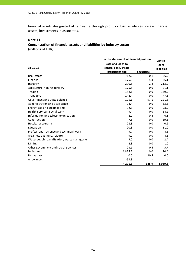financial assets designated at fair value through profit or loss, available‐for‐sale financial assets, investments in associates.

#### **Note 11**

# **Concentration of financial assets and liabilities by industry sector** (millions of EUR)

|                                              | In the statement of financial position | Contin-           |                    |
|----------------------------------------------|----------------------------------------|-------------------|--------------------|
|                                              | <b>Cash and loans to</b>               |                   | gent               |
| 31.12.13                                     | central bank, credit                   |                   | <b>liabilities</b> |
|                                              | institutions and                       | <b>Securities</b> |                    |
| Real estate                                  | 712.2                                  | 0.1               | 56.9               |
| Finance                                      | 475.6                                  | 4.4               | 26.1               |
| Industry                                     | 290.6                                  | 2.8               | 213.9              |
| Agriculture, fishing, forestry               | 175.6                                  | 0.0               | 21.1               |
| Trading                                      | 158.1                                  | 0.0               | 139.9              |
| Transport                                    | 148.4                                  | 0.0               | 77.6               |
| Government and state defence                 | 105.1                                  | 97.1              | 221.8              |
| Administration and assistance                | 94.4                                   | 0.0               | 33.5               |
| Energy, gas and steam plants                 | 92.3                                   | 0.0               | 98.9               |
| Health services, social work                 | 49.4                                   | 0.0               | 14.2               |
| Information and telecommunication            | 48.0                                   | 0.4               | 6.1                |
| Construction                                 | 47.8                                   | 0.0               | 59.3               |
| Hotels, restaurants                          | 28.8                                   | 0.0               | 0.9                |
| Education                                    | 20.3                                   | 0.0               | 11.0               |
| Professional, science and technical work     | 9.7                                    | 0.0               | 4.5                |
| Art, show business, leisure                  | 9.2                                    | 0.0               | 4.6                |
| Water supply, canalisation, waste management | 9.0                                    | 0.0               | 2.4                |
| Mining                                       | 2.3                                    | 0.0               | 1.0                |
| Other government and social services         | 23.1                                   | 0.6               | 5.7                |
| Individuals                                  | 1,825.2                                | 0.0               | 70.4               |
| Derivatives                                  | 0.0                                    | 20.5              | 0.0                |
| Allowances                                   | $-53.8$                                |                   |                    |
|                                              | 4,271.3                                | 125.9             | 1,069.8            |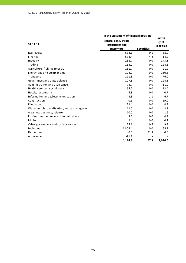| In the statement of financial position       |                                                       |                   |                                       |  |
|----------------------------------------------|-------------------------------------------------------|-------------------|---------------------------------------|--|
| 31.12.12                                     | central bank, credit<br>institutions and<br>customers | <b>Securities</b> | Contin-<br>gent<br><b>liabilities</b> |  |
| Real estate                                  | 638.1                                                 | 0.1               | 38.9                                  |  |
| Finance                                      | 534.4                                                 | 4.2               | 14.2                                  |  |
| Industry                                     | 238.7                                                 | 0.0               | 173.1                                 |  |
| Trading                                      | 154.0                                                 | 0.0               | 124.8                                 |  |
| Agriculture, fishing, forestry               | 151.7                                                 | 0.0               | 21.9                                  |  |
| Energy, gas and steam plants                 | 124.0                                                 | 0.0               | 160.5                                 |  |
| Transport                                    | 111.3                                                 | 0.0               | 76.0                                  |  |
| Government and state defence                 | 107.8                                                 | 0.0               | 224.3                                 |  |
| Administration and assistance                | 74.7                                                  | 0.0               | 11.0                                  |  |
| Health services, social work                 | 55.2                                                  | 0.0               | 13.4                                  |  |
| Hotels, restaurants                          | 46.8                                                  | 0.0               | 0.7                                   |  |
| Information and telecommunication            | 44.3                                                  | 1.1               | 6.7                                   |  |
| Construction                                 | 40.6                                                  | 0.0               | 69.0                                  |  |
| Education                                    | 22.4                                                  | 0.0               | 4.9                                   |  |
| Water supply, canalisation, waste management | 11.0                                                  | 0.0               | 3.3                                   |  |
| Art, show business, leisure                  | 10.0                                                  | 0.0               | 1.6                                   |  |
| Professional, science and technical work     | 8.6                                                   | 0.0               | 4.9                                   |  |
| Mining                                       | 2.4                                                   | 0.0               | 0.2                                   |  |
| Other government and social services         | 25.1                                                  | 0.6               | 9.3                                   |  |
| Individuals                                  | 1,804.4                                               | 0.0               | 65.3                                  |  |
| Derivatives                                  | 0.0                                                   | 21.3              | 0.0                                   |  |
| Allowances                                   | $-91.2$                                               |                   |                                       |  |
|                                              | 4,114.3                                               | 27.3              | 1,024.0                               |  |